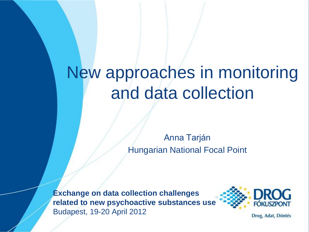# New approaches in monitoring and data collection

Anna Tarján Hungarian National Focal Point

**Exchange on data collection challenges related to new psychoactive substances use** Budapest, 19-20 April 2012



Drog, Adat, Döntés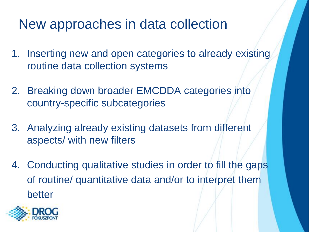### New approaches in data collection

- 1. Inserting new and open categories to already existing routine data collection systems
- 2. Breaking down broader EMCDDA categories into country-specific subcategories
- 3. Analyzing already existing datasets from different aspects/ with new filters
- 4. Conducting qualitative studies in order to fill the gaps of routine/ quantitative data and/or to interpret them better

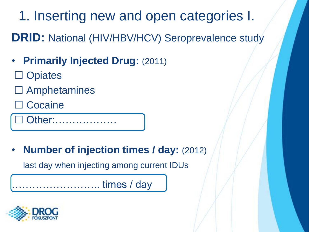1. Inserting new and open categories I.

**DRID:** National (HIV/HBV/HCV) Seroprevalence study

- **Primarily Injected Drug: (2011)**
- **Opiates**
- Amphetamines
- **Cocaine**

Other:………………

• **Number of injection times / day:** (2012)

last day when injecting among current IDUs

…………………….. times / day

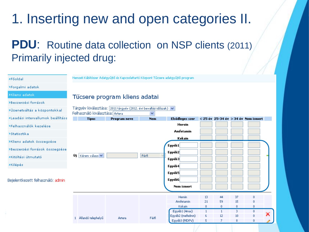### 1. Inserting new and open categories II.

#### **PDU:** Routine data collection on NSP clients (2011) Primarily injected drug:

| >Főoldal                           |                                  | Nemzeti Kábítószer Adatgyűjtő és Kapcsolattartó Központ Tűcsere adatgyűjtő program- |            |                   |              |    |    |                                           |   |
|------------------------------------|----------------------------------|-------------------------------------------------------------------------------------|------------|-------------------|--------------|----|----|-------------------------------------------|---|
| >Forgalmi adatok                   |                                  |                                                                                     |            |                   |              |    |    |                                           |   |
| >Kliens adatok                     |                                  | Tűcsere program kliens adatai                                                       |            |                   |              |    |    |                                           |   |
| >Beszerzési források               |                                  |                                                                                     |            |                   |              |    |    |                                           |   |
| >Üzenetváltás a központokkal       | Felhasználó kiválasztása: Artera | Tárgyév kiválasztása: 2011 tárgyév (2012. évi bevallási időszak) v                  | ×          |                   |              |    |    |                                           |   |
| >Leadási intervallumok beállítása  | <b>Típus</b>                     | Program neve                                                                        | <b>Nem</b> | Elsődleges szer   |              |    |    | $<$ 25 év $25-34$ év $>$ 34 év Nem ismert |   |
| >Felhasználók kezelése             |                                  |                                                                                     |            | <b>Heroin</b>     |              |    |    |                                           |   |
| <b>&gt;Statisztika</b>             |                                  |                                                                                     |            | <b>Amfetamin</b>  |              |    |    |                                           |   |
| >Kliens adatok összegzése          |                                  |                                                                                     |            | Kokain            |              |    |    |                                           |   |
| »Beszerzési források összegzése    |                                  |                                                                                     |            | Egyéb1<br>Egyéb2  |              |    |    |                                           |   |
| »Kitöltési útmutató                | Uj   Kérem válaszi V             |                                                                                     | Férfi      | Egyéb3            |              |    |    |                                           |   |
| >Kilépés                           |                                  |                                                                                     |            | Egyéb4            |              |    |    |                                           |   |
|                                    |                                  |                                                                                     |            | Egyéb5            |              |    |    |                                           |   |
| Bejelentkezett felhasználó: admin. |                                  |                                                                                     |            | Egyéb6            |              |    |    |                                           |   |
|                                    |                                  |                                                                                     |            | <b>Nem ismert</b> |              |    |    |                                           |   |
|                                    |                                  |                                                                                     |            | Heroin            | 13           | 44 | 37 | 0                                         |   |
|                                    |                                  |                                                                                     |            | Amfetamin         | 21           | 59 | 15 | $\theta$                                  |   |
|                                    |                                  |                                                                                     |            | Kokain            | $\mathbf{0}$ | 0  | 0. | $\mathbf{0}$                              |   |
|                                    |                                  |                                                                                     |            | Egyéb1 (4mac)     | $\mathbf{1}$ |    | з. | $\theta$                                  | × |
|                                    | 1 Allandó telephelyű             | Artera                                                                              | Férfi      | Egyéb2 (mefedron) | 6            | 12 | 10 | $\mathbf{0}$                              |   |
|                                    |                                  |                                                                                     |            | Egyéb3 (MDPV)     | 5            | 7  | 8  | 0                                         |   |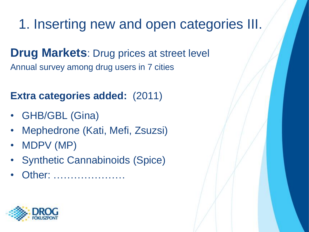1. Inserting new and open categories III.

**Drug Markets: Drug prices at street level** Annual survey among drug users in 7 cities

#### **Extra categories added:** (2011)

- GHB/GBL (Gina)
- Mephedrone (Kati, Mefi, Zsuzsi)
- MDPV (MP)
- Synthetic Cannabinoids (Spice)
- Other: …………………

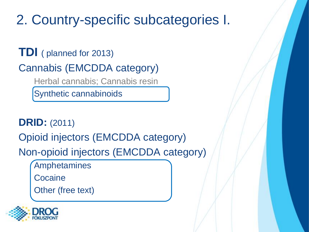### 2. Country-specific subcategories I.

**TDI** ( planned for 2013) Cannabis (EMCDDA category) Herbal cannabis; Cannabis resin

Synthetic cannabinoids

**DRID:** (2011)

Opioid injectors (EMCDDA category)

Non-opioid injectors (EMCDDA category)

Amphetamines

**Cocaine** 

Other (free text)

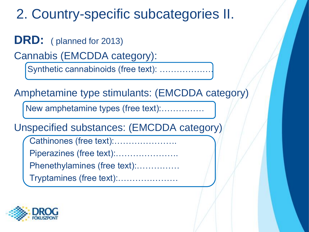### 2. Country-specific subcategories II.

**DRD:** ( planned for 2013)

Cannabis (EMCDDA category):

Synthetic cannabinoids (free text): ..................

Amphetamine type stimulants: (EMCDDA category)

New amphetamine types (free text):……………

Unspecified substances: (EMCDDA category)

Cathinones (free text):………………….

Piperazines (free text):………………….

Phenethylamines (free text):……………

Tryptamines (free text):…………………

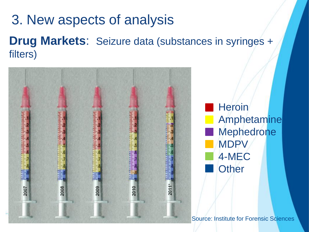### 3. New aspects of analysis **Drug Markets**: Seizure data (substances in syringes + filters)



**Heroin** Amphetamine **Mephedrone MDP** 4-MEC **Other** 

Source: Institute for Forensic Sciences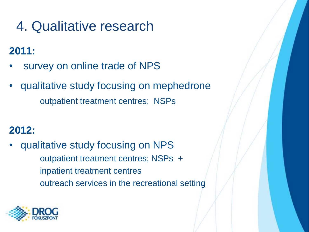## 4. Qualitative research

#### **2011:**

- survey on online trade of NPS
- qualitative study focusing on mephedrone outpatient treatment centres; NSPs

#### **2012:**

qualitative study focusing on NPS outpatient treatment centres; NSPs + inpatient treatment centres outreach services in the recreational setting

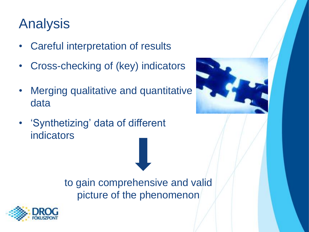## Analysis

- Careful interpretation of results
- Cross-checking of (key) indicators
- Merging qualitative and quantitative data
- 'Synthetizing' data of different indicators



to gain comprehensive and valid picture of the phenomenon

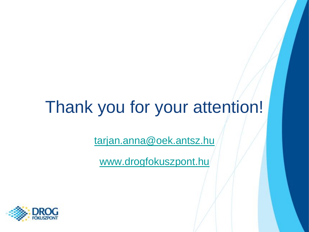# Thank you for your attention!

[tarjan.anna@oek.antsz.hu](mailto:tarjan.anna@oek.antsz.hu)

[www.drogfokuszpont.hu](http://www.drogfokuszpont.hu/)